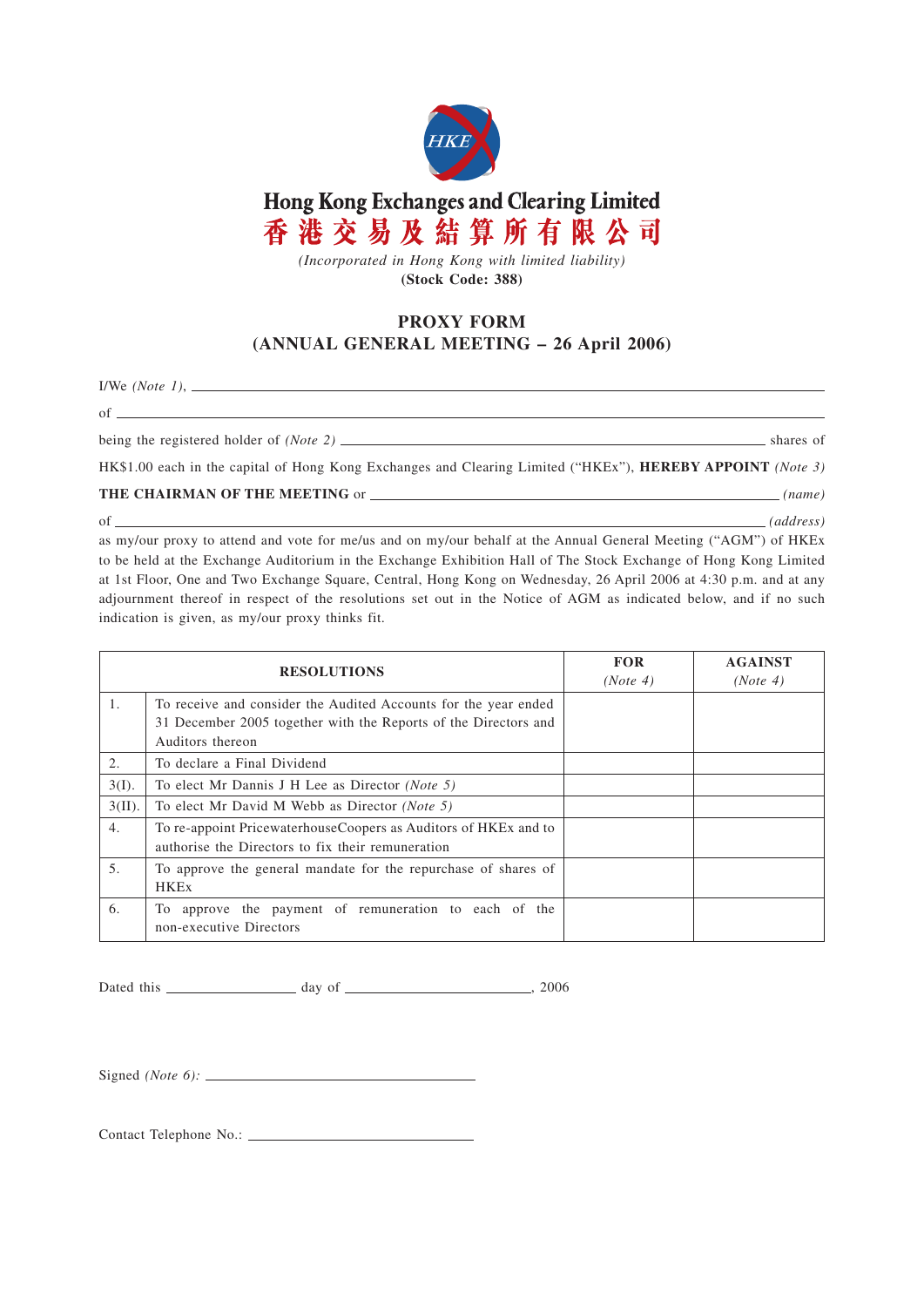

Hong Kong Exchanges and Clearing Limited 香港交易及結算所有限公司

*(Incorporated in Hong Kong with limited liability)* **(Stock Code: 388)**

## **PROXY FORM (ANNUAL GENERAL MEETING – 26 April 2006)**

I/We *(Note 1)*,

of <u>second</u> contract the second contract of the second contract of the second contract of the second contract of the second contract of the second contract of the second contract of the second contract of the second contra

being the registered holder of *(Note 2)* shares of

HK\$1.00 each in the capital of Hong Kong Exchanges and Clearing Limited ("HKEx"), **HEREBY APPOINT** *(Note 3)*

**THE CHAIRMAN OF THE MEETING** or *(name)*

of *(address)*

as my/our proxy to attend and vote for me/us and on my/our behalf at the Annual General Meeting ("AGM") of HKEx to be held at the Exchange Auditorium in the Exchange Exhibition Hall of The Stock Exchange of Hong Kong Limited at 1st Floor, One and Two Exchange Square, Central, Hong Kong on Wednesday, 26 April 2006 at 4:30 p.m. and at any adjournment thereof in respect of the resolutions set out in the Notice of AGM as indicated below, and if no such indication is given, as my/our proxy thinks fit.

| <b>RESOLUTIONS</b> |                                                                                                                                                        | <b>FOR</b><br>(Note 4) | <b>AGAINST</b><br>(Note 4) |
|--------------------|--------------------------------------------------------------------------------------------------------------------------------------------------------|------------------------|----------------------------|
| 1.                 | To receive and consider the Audited Accounts for the year ended<br>31 December 2005 together with the Reports of the Directors and<br>Auditors thereon |                        |                            |
| 2.                 | To declare a Final Dividend                                                                                                                            |                        |                            |
| $3(I)$ .           | To elect Mr Dannis J H Lee as Director (Note 5)                                                                                                        |                        |                            |
| $3(II)$ .          | To elect Mr David M Webb as Director (Note 5)                                                                                                          |                        |                            |
| 4.                 | To re-appoint Pricewaterhouse Coopers as Auditors of HKE <sub>x</sub> and to<br>authorise the Directors to fix their remuneration                      |                        |                            |
| $\overline{5}$ .   | To approve the general mandate for the repurchase of shares of<br><b>HKEx</b>                                                                          |                        |                            |
| 6.                 | To approve the payment of remuneration to each of the<br>non-executive Directors                                                                       |                        |                            |

Dated this day of , 2006

Signed *(Note 6):*

Contact Telephone No.: